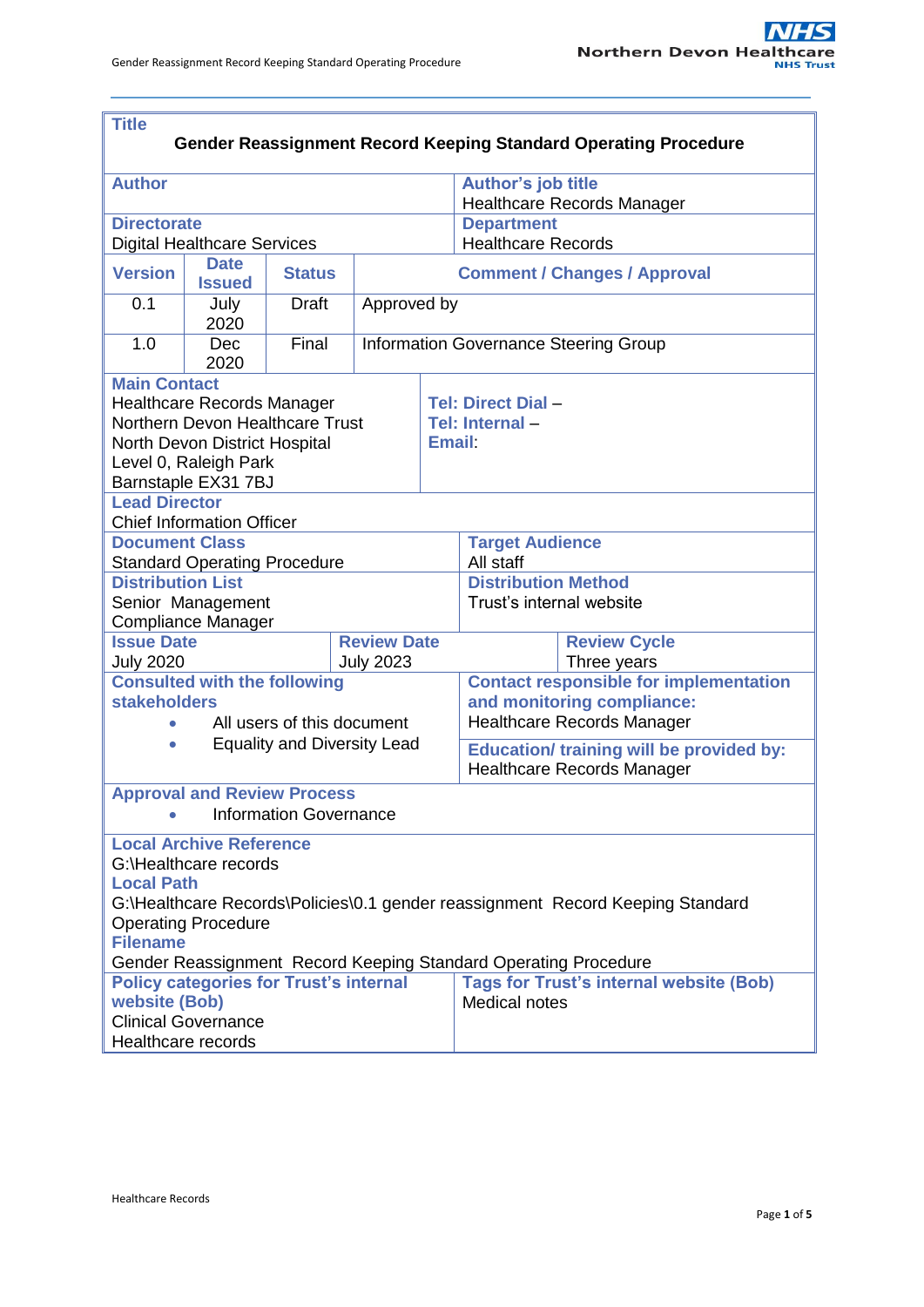| <b>Title</b><br><b>Gender Reassignment Record Keeping Standard Operating Procedure</b>                                                                                                                                                                                             |                    |              |  |                                       |                                                                                                                                                                     |  |  |  |  |
|------------------------------------------------------------------------------------------------------------------------------------------------------------------------------------------------------------------------------------------------------------------------------------|--------------------|--------------|--|---------------------------------------|---------------------------------------------------------------------------------------------------------------------------------------------------------------------|--|--|--|--|
| <b>Author</b>                                                                                                                                                                                                                                                                      |                    |              |  |                                       | <b>Author's job title</b><br><b>Healthcare Records Manager</b>                                                                                                      |  |  |  |  |
| <b>Directorate</b><br><b>Digital Healthcare Services</b>                                                                                                                                                                                                                           |                    |              |  |                                       | <b>Department</b><br><b>Healthcare Records</b>                                                                                                                      |  |  |  |  |
| <b>Date</b><br><b>Version</b><br><b>Status</b>                                                                                                                                                                                                                                     |                    |              |  |                                       |                                                                                                                                                                     |  |  |  |  |
|                                                                                                                                                                                                                                                                                    | <b>Issued</b>      |              |  | <b>Comment / Changes / Approval</b>   |                                                                                                                                                                     |  |  |  |  |
| 0.1                                                                                                                                                                                                                                                                                | July<br>2020       | <b>Draft</b> |  | Approved by                           |                                                                                                                                                                     |  |  |  |  |
| 1.0                                                                                                                                                                                                                                                                                | <b>Dec</b><br>2020 | Final        |  | Information Governance Steering Group |                                                                                                                                                                     |  |  |  |  |
| <b>Main Contact</b><br><b>Healthcare Records Manager</b><br>Northern Devon Healthcare Trust<br>North Devon District Hospital<br>Level 0, Raleigh Park<br>Barnstaple EX31 7BJ                                                                                                       |                    |              |  |                                       | Tel: Direct Dial -<br>Tel: Internal-<br>Email:                                                                                                                      |  |  |  |  |
| <b>Lead Director</b>                                                                                                                                                                                                                                                               |                    |              |  |                                       |                                                                                                                                                                     |  |  |  |  |
| <b>Chief Information Officer</b><br><b>Document Class</b><br><b>Standard Operating Procedure</b>                                                                                                                                                                                   |                    |              |  |                                       | <b>Target Audience</b><br>All staff                                                                                                                                 |  |  |  |  |
| <b>Distribution List</b><br>Senior Management<br><b>Compliance Manager</b>                                                                                                                                                                                                         |                    |              |  |                                       | <b>Distribution Method</b><br>Trust's internal website                                                                                                              |  |  |  |  |
| <b>Issue Date</b><br><b>Review Date</b><br><b>July 2020</b><br><b>July 2023</b>                                                                                                                                                                                                    |                    |              |  |                                       | <b>Review Cycle</b><br>Three years                                                                                                                                  |  |  |  |  |
| <b>Consulted with the following</b><br><b>stakeholders</b><br>All users of this document<br>$\bullet$<br><b>Equality and Diversity Lead</b><br>$\bullet$                                                                                                                           |                    |              |  |                                       | <b>Contact responsible for implementation</b><br>and monitoring compliance:<br><b>Healthcare Records Manager</b><br><b>Education/ training will be provided by:</b> |  |  |  |  |
|                                                                                                                                                                                                                                                                                    |                    |              |  |                                       | <b>Healthcare Records Manager</b>                                                                                                                                   |  |  |  |  |
| <b>Approval and Review Process</b><br><b>Information Governance</b>                                                                                                                                                                                                                |                    |              |  |                                       |                                                                                                                                                                     |  |  |  |  |
| <b>Local Archive Reference</b><br>G:\Healthcare records<br><b>Local Path</b><br>G:\Healthcare Records\Policies\0.1 gender reassignment Record Keeping Standard<br><b>Operating Procedure</b><br><b>Filename</b><br>Gender Reassignment Record Keeping Standard Operating Procedure |                    |              |  |                                       |                                                                                                                                                                     |  |  |  |  |
| <b>Policy categories for Trust's internal</b><br>website (Bob)<br><b>Clinical Governance</b><br>Healthcare records                                                                                                                                                                 |                    |              |  |                                       | <b>Tags for Trust's internal website (Bob)</b><br><b>Medical notes</b>                                                                                              |  |  |  |  |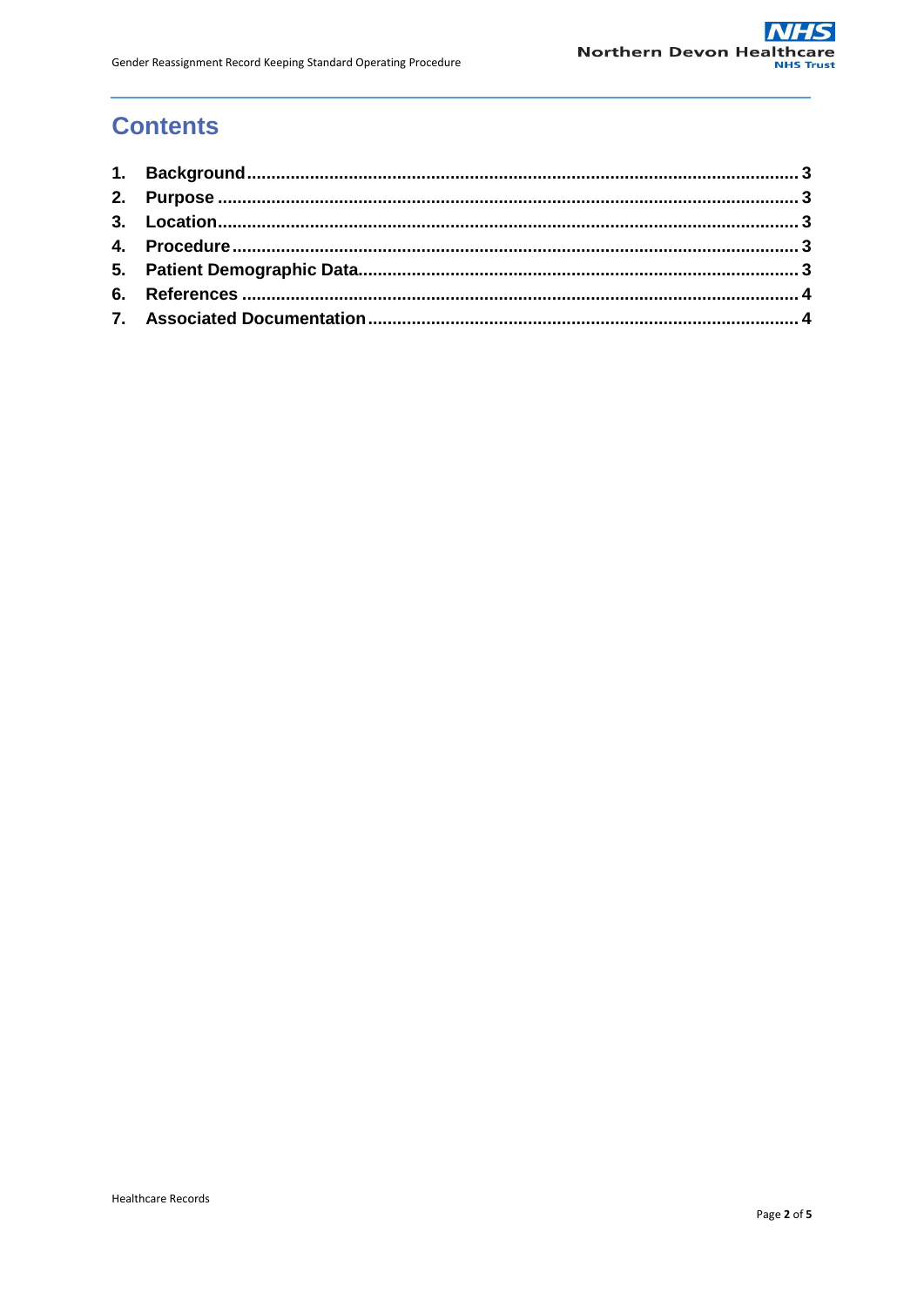# **Contents**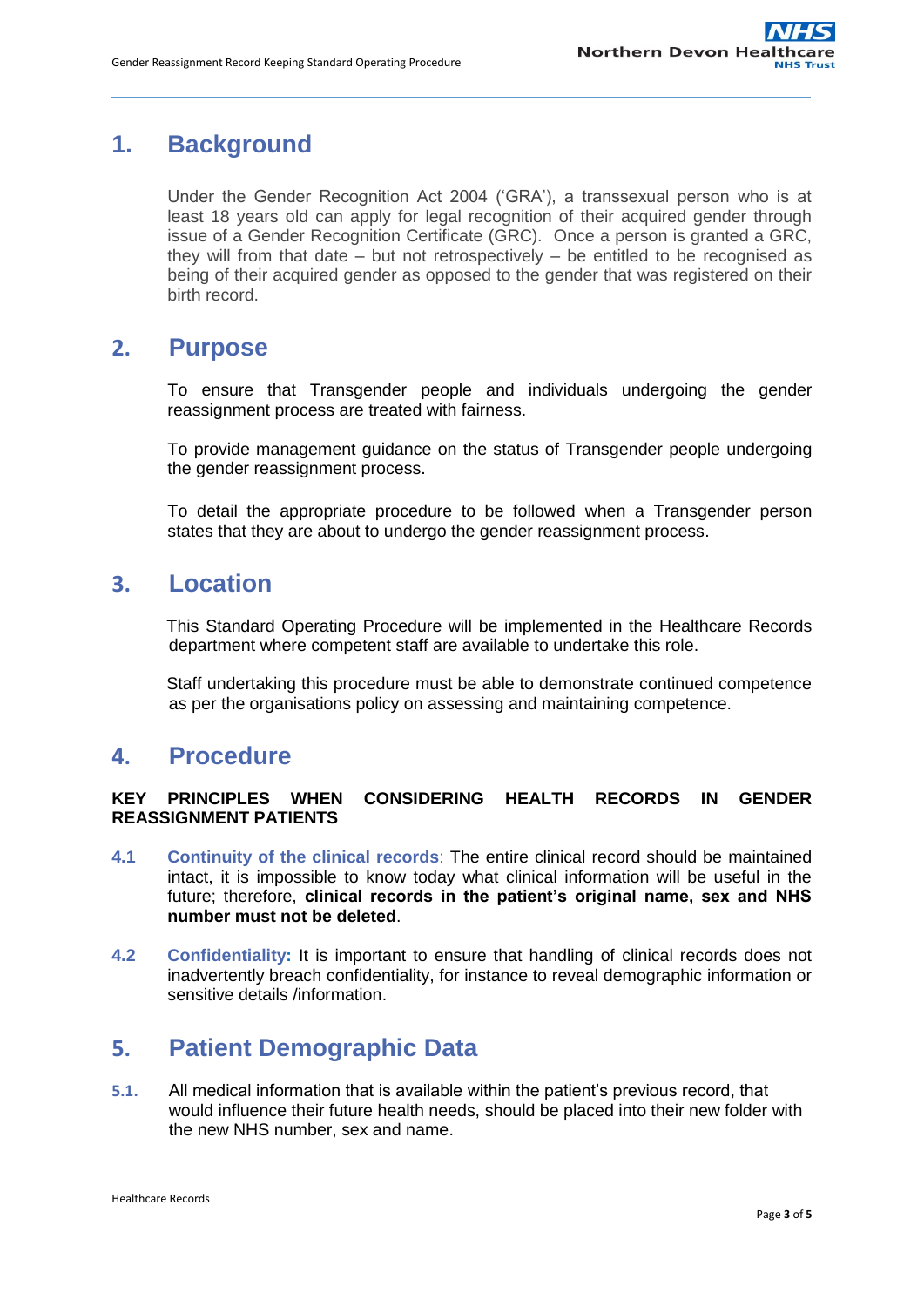# <span id="page-2-0"></span>**1. Background**

Under the Gender Recognition Act 2004 ('GRA'), a transsexual person who is at least 18 years old can apply for legal recognition of their acquired gender through issue of a Gender Recognition Certificate (GRC). Once a person is granted a GRC, they will from that date – but not retrospectively – be entitled to be recognised as being of their acquired gender as opposed to the gender that was registered on their birth record.

# <span id="page-2-1"></span>**2. Purpose**

To ensure that Transgender people and individuals undergoing the gender reassignment process are treated with fairness.

To provide management guidance on the status of Transgender people undergoing the gender reassignment process.

To detail the appropriate procedure to be followed when a Transgender person states that they are about to undergo the gender reassignment process.

# <span id="page-2-2"></span>**3. Location**

This Standard Operating Procedure will be implemented in the Healthcare Records department where competent staff are available to undertake this role.

Staff undertaking this procedure must be able to demonstrate continued competence as per the organisations policy on assessing and maintaining competence.

## <span id="page-2-3"></span>**4. Procedure**

#### **KEY PRINCIPLES WHEN CONSIDERING HEALTH RECORDS IN GENDER REASSIGNMENT PATIENTS**

- **4.1 Continuity of the clinical records**: The entire clinical record should be maintained intact, it is impossible to know today what clinical information will be useful in the future; therefore, **clinical records in the patient's original name, sex and NHS number must not be deleted**.
- **4.2 Confidentiality:** It is important to ensure that handling of clinical records does not inadvertently breach confidentiality, for instance to reveal demographic information or sensitive details /information.

# <span id="page-2-4"></span>**5. Patient Demographic Data**

**5.1.** All medical information that is available within the patient's previous record, that would influence their future health needs, should be placed into their new folder with the new NHS number, sex and name.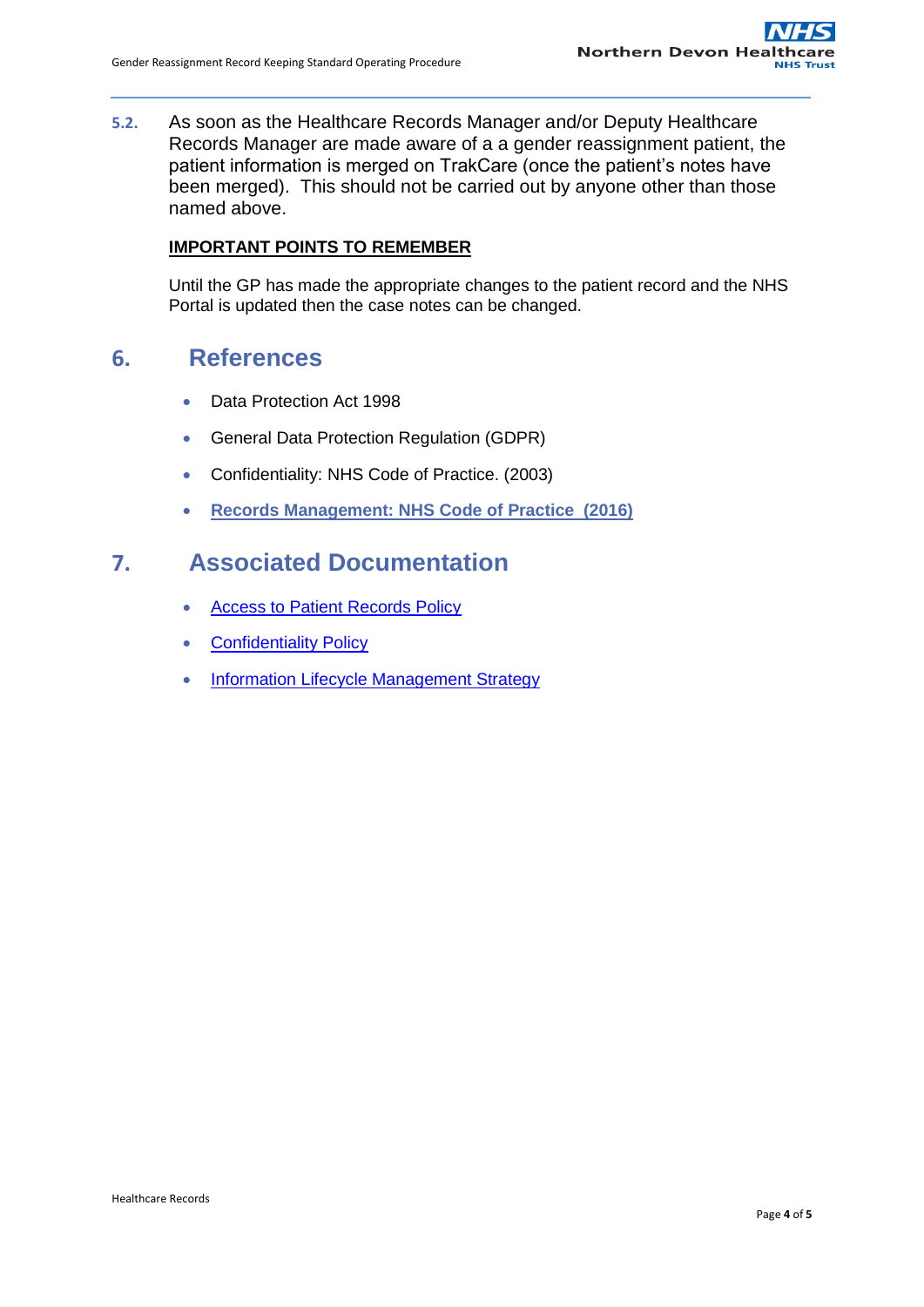**5.2.** As soon as the Healthcare Records Manager and/or Deputy Healthcare Records Manager are made aware of a a gender reassignment patient, the patient information is merged on TrakCare (once the patient's notes have been merged). This should not be carried out by anyone other than those named above.

#### **IMPORTANT POINTS TO REMEMBER**

Until the GP has made the appropriate changes to the patient record and the NHS Portal is updated then the case notes can be changed.

## <span id="page-3-0"></span>**6. References**

- Data Protection Act 1998
- General Data Protection Regulation (GDPR)
- Confidentiality: NHS Code of Practice. (2003)
- **[Records Management: NHS Code of Practice \(2016\)](http://www.dh.gov.uk/en/Publicationsandstatistics/Publications/PublicationsPolicyAndGuidance/DH_4131747)**

# <span id="page-3-1"></span>**7. Associated Documentation**

- Access to Patient Records Policy
- [Confidentiality Policy](http://ndht.ndevon.swest.nhs.uk/policies/?p=40)
- [Information Lifecycle Management Strategy](http://ndht.ndevon.swest.nhs.uk/policies/?p=6055)